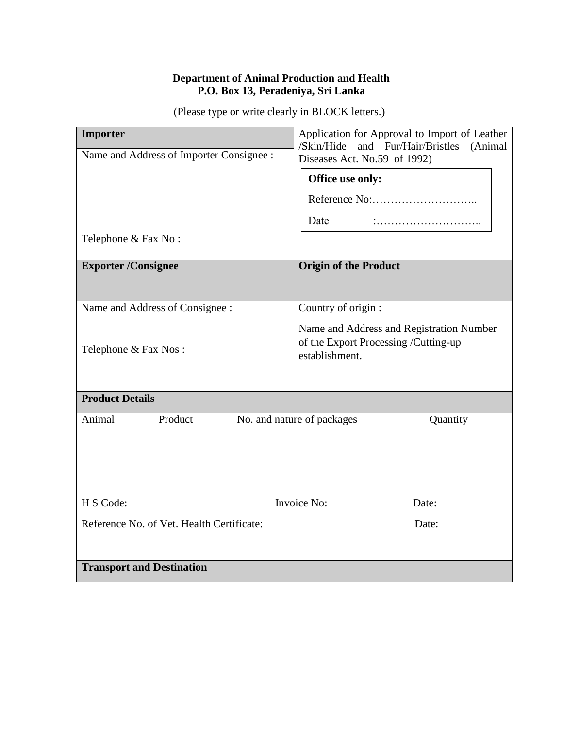#### **Department of Animal Production and Health P.O. Box 13, Peradeniya, Sri Lanka**

(Please type or write clearly in BLOCK letters.)

| Importer                                                    | Application for Approval to Import of Leather<br>/Skin/Hide<br>and Fur/Hair/Bristles<br>(Animal    |
|-------------------------------------------------------------|----------------------------------------------------------------------------------------------------|
| Name and Address of Importer Consignee :                    | Diseases Act. No.59 of 1992)                                                                       |
|                                                             | Office use only:                                                                                   |
|                                                             |                                                                                                    |
|                                                             | Date                                                                                               |
| Telephone & Fax No:                                         |                                                                                                    |
| <b>Exporter/Consignee</b>                                   | <b>Origin of the Product</b>                                                                       |
| Name and Address of Consignee :                             | Country of origin :                                                                                |
| Telephone & Fax Nos:                                        | Name and Address and Registration Number<br>of the Export Processing /Cutting-up<br>establishment. |
| <b>Product Details</b>                                      |                                                                                                    |
| Animal<br>Product<br>No. and nature of packages<br>Quantity |                                                                                                    |
| H S Code:                                                   | Invoice No:<br>Date:                                                                               |
| Reference No. of Vet. Health Certificate:                   | Date:                                                                                              |
| <b>Transport and Destination</b>                            |                                                                                                    |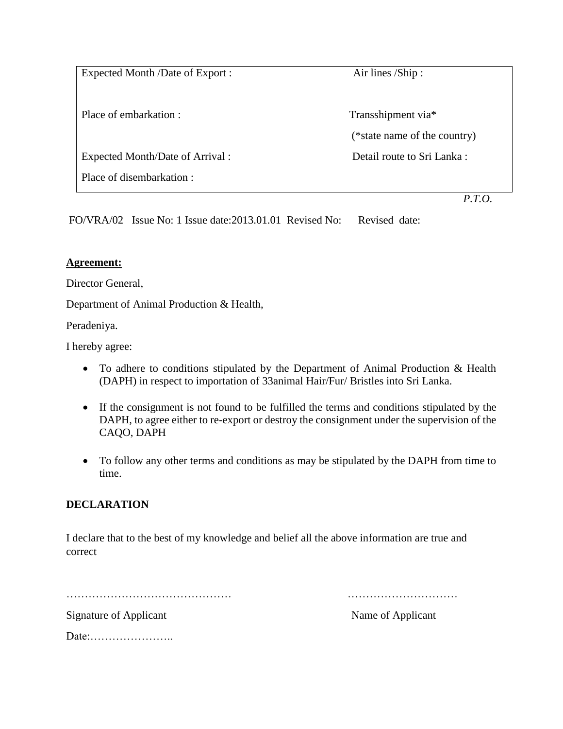Expected Month /Date of Export : Air lines /Ship :

Place of embarkation : Transshipment via\*

Expected Month/Date of Arrival : Detail route to Sri Lanka :

Place of disembarkation :

(\*state name of the country)

*P.T.O.*

FO/VRA/02 Issue No: 1 Issue date:2013.01.01 Revised No: Revised date:

## **Agreement:**

Director General,

Department of Animal Production & Health,

Peradeniya.

I hereby agree:

- To adhere to conditions stipulated by the Department of Animal Production & Health (DAPH) in respect to importation of 33animal Hair/Fur/ Bristles into Sri Lanka.
- If the consignment is not found to be fulfilled the terms and conditions stipulated by the DAPH, to agree either to re-export or destroy the consignment under the supervision of the CAQO, DAPH
- To follow any other terms and conditions as may be stipulated by the DAPH from time to time.

# **DECLARATION**

I declare that to the best of my knowledge and belief all the above information are true and correct

……………………………………… …………………………

Signature of Applicant Name of Applicant

Date:…………………..